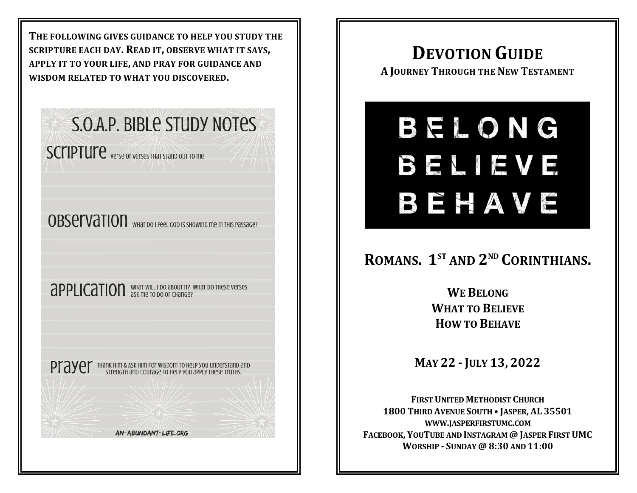**THE FOLLOWING GIVES GUIDANCE TO HELP YOU STUDY THE SCRIPTURE EACH DAY. READ IT, OBSERVE WHAT IT SAYS, APPLY IT TO YOUR LIFE, AND PRAY FOR GUIDANCE AND WISDOM RELATED TO WHAT YOU DISCOVERED.**

## **S.O.A.P. BIBLE STUDY NOTES**

**SCIIPTUITE** verse or verses THAT STAND OUT TO ME

**OBSEIVATION** WHAT DO I FEEL GOD IS SHOWING Me IN

**APPLICATION** WHAT WILL I DO ABOUT IT? WHAT DO THESE VETSES

**Prayer** Thank Him & ASK Him For WISDOM TO Help you uni

AN-ABUNDANT-LIFE.ORG

## **DEVOTION GUIDE**

**A JOURNEY THROUGH THE NEW TESTAMENT**

# BELONG BELIEVE BEHAVE

### **ROMANS. 1 ST AND 2 ND CORINTHIANS.**

**WEBELONG WHAT TO BELIEVE HOW TO BEHAVE**

**MAY 22 - JULY 13, 2022**

**FIRSTUNITED METHODIST CHURCH 1800 THIRD AVENUE SOUTH • JASPER, AL 35501 WWW.JASPERFIRSTUMC.COM FACEBOOK, YOUTUBE AND INSTAGRAM@ JASPER FIRSTUMC WORSHIP - SUNDAY @ 8:30 AND 11:00**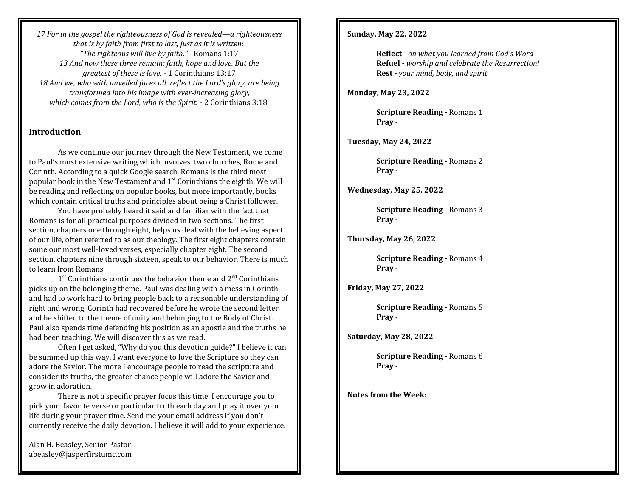*17 For in the gospel the righteousness of God is revealed—a righteousness that is by faith from first to last, just as it is written: "The righteous will live by faith." -* Romans 1:17 *13 And now these three remain: faith, hope and love. But the greatest of these is love.* - 1 Corinthians 13:17 *18 And we, who with unveiled faces all reflect the Lord's glory, are being transformed into his image with ever-increasing glory, which comes from the Lord, who is the Spirit.* - 2 Corinthians 3:18

#### **Introduction**

As we continue our journey through the New Testament, we come to Paul's most extensive writing which involves two churches, Rome and Corinth. According to a quick Google search, Romans is the third most popular book in the New Testament and  $1^{st}$  Corinthians the eighth. We will be reading and reflecting on popular books, but more importantly, books which contain critical truths and principles about being a Christ follower.

You have probably heard it said and familiar with the fact that Romans is for all practical purposes divided in two sections. The first section, chapters one through eight, helps us deal with the believing aspect of our life, often referred to as our theology. The first eight chapters contain some our most well-loved verses, especially chapter eight. The second section, chapters nine through sixteen, speak to our behavior. There is much to learn from Romans.

1<sup>st</sup> Corinthians continues the behavior theme and 2<sup>nd</sup> Corinthians picks up on the belonging theme. Paul was dealing with a mess in Corinth and had to work hard to bring people back to a reasonable understanding of right and wrong. Corinth had recovered before he wrote the second letter and he shifted to the theme of unity and belonging to the Body of Christ. Paul also spends time defending his position as an apostle and the truths he had been teaching. We will discover this as we read.

Often I get asked, "Why do you this devotion guide?" I believe it can be summed up this way. I want everyone to love the Scripture so they can adore the Savior. The more I encourage people to read the scripture and consider its truths, the greater chance people will adore the Savior and grow in adoration.

There is not a specific prayer focus this time. I encourage you to pick your favorite verse or particular truth each day and pray it over your life during your prayer time. Send me your email address if you don't currently receive the daily devotion. I believe it will add to your experience.

Alan H. Beasley, Senior Pastor abeasley@jasperfirstumc.com

#### **Sunday, May 22, 2022**

**Reflect -** *on what you learned from God's Word* **Refuel -** *worship and celebrate the Resurrection!* **Rest -** *your mind, body, and spirit*

**Monday, May 23, 2022**

**Scripture Reading -** Romans 1 **Pray** -

**Tuesday, May 24, 2022**

**Scripture Reading -** Romans 2 **Pray** -

**Wednesday, May 25, 2022**

**Scripture Reading - Romans 3 Pray** -

**Thursday, May 26, 2022**

**Scripture Reading -** Romans 4 **Pray** -

**Friday, May 27, 2022**

**Scripture Reading -** Romans 5 **Pray** -

**Saturday, May 28, 2022**

**Scripture Reading - Romans 6 Pray** -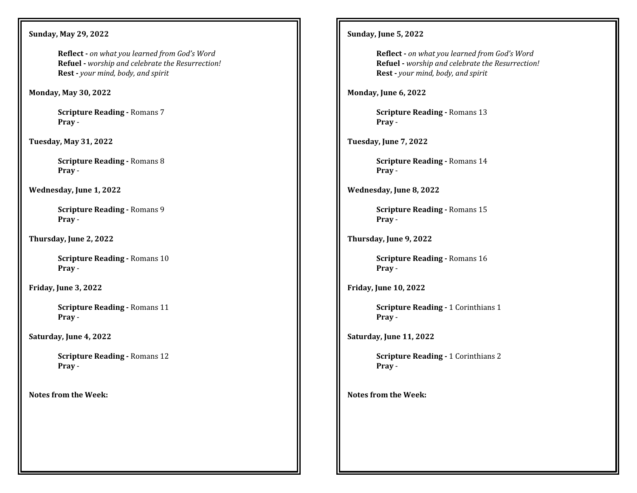**Sunday, May 29, 2022**

**Reflect -** *on what you learned from God's Word* **Refuel -** *worship and celebrate the Resurrection!* **Rest -** *your mind, body, and spirit*

**Monday, May 30, 2022**

**Scripture Reading -** Romans 7 **Pray** -

**Tuesday, May 31, 2022**

**Scripture Reading -** Romans 8 **Pray** -

**Wednesday, June 1, 2022**

**Scripture Reading -** Romans 9 **Pray** -

**Thursday, June 2, 2022**

**Scripture Reading -** Romans 10 **Pray** -

**Friday, June 3, 2022**

**Scripture Reading -** Romans 11 **Pray** -

**Saturday, June 4, 2022**

**Scripture Reading -** Romans 12 **Pray** -

**Notes from the Week:**

**Sunday, June 5, 2022**

**Reflect -** *on what you learned from God's Word* **Refuel -** *worship and celebrate the Resurrection!* **Rest -** *your mind, body, and spirit*

**Monday, June 6, 2022**

**Scripture Reading -** Romans 13 **Pray** -

**Tuesday, June 7, 2022**

**Scripture Reading -** Romans 14 **Pray** -

**Wednesday, June 8, 2022**

**Scripture Reading -** Romans 15 **Pray** -

**Thursday, June 9, 2022**

**Scripture Reading -** Romans 16 **Pray** -

**Friday, June 10, 2022**

**Scripture Reading -** 1 Corinthians 1 **Pray** -

**Saturday, June 11, 2022**

**Scripture Reading -** 1 Corinthians 2 **Pray** -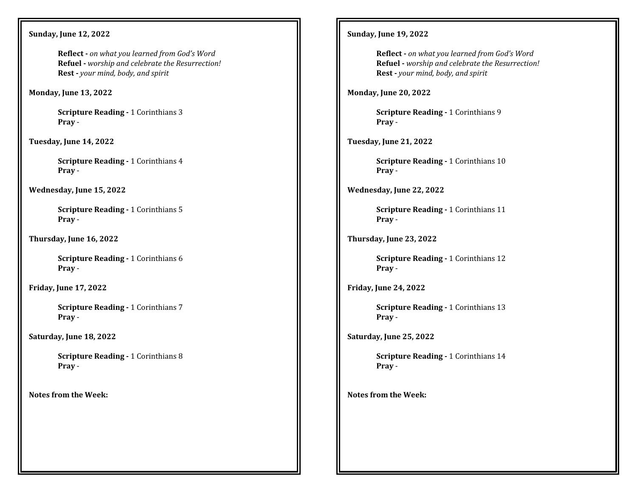**Sunday, June 12, 2022**

**Reflect -** *on what you learned from God's Word* **Refuel -** *worship and celebrate the Resurrection!* **Rest -** *your mind, body, and spirit*

**Monday, June 13, 2022**

**Scripture Reading -** 1 Corinthians 3 **Pray** -

**Tuesday, June 14, 2022**

**Scripture Reading -** 1 Corinthians 4 **Pray** -

**Wednesday, June 15, 2022**

**Scripture Reading - 1 Corinthians 5 Pray** -

**Thursday, June 16, 2022**

**Scripture Reading -** 1 Corinthians 6 **Pray** -

**Friday, June 17, 2022**

**Scripture Reading - 1 Corinthians 7 Pray** -

**Saturday, June 18, 2022**

**Scripture Reading -** 1 Corinthians 8 **Pray** -

**Notes from the Week:**

#### **Sunday, June 19, 2022**

**Reflect -** *on what you learned from God's Word* **Refuel -** *worship and celebrate the Resurrection!* **Rest -** *your mind, body, and spirit*

**Monday, June 20, 2022**

**Scripture Reading -** 1 Corinthians 9 **Pray** -

**Tuesday, June 21, 2022**

**Scripture Reading -** 1 Corinthians 10 **Pray** -

**Wednesday, June 22, 2022**

**Scripture Reading -** 1 Corinthians 11 **Pray** -

**Thursday, June 23, 2022**

**Scripture Reading -** 1 Corinthians 12 **Pray** -

**Friday, June 24, 2022**

**Scripture Reading -** 1 Corinthians 13 **Pray** -

**Saturday, June 25, 2022**

**Scripture Reading -** 1 Corinthians 14 **Pray** -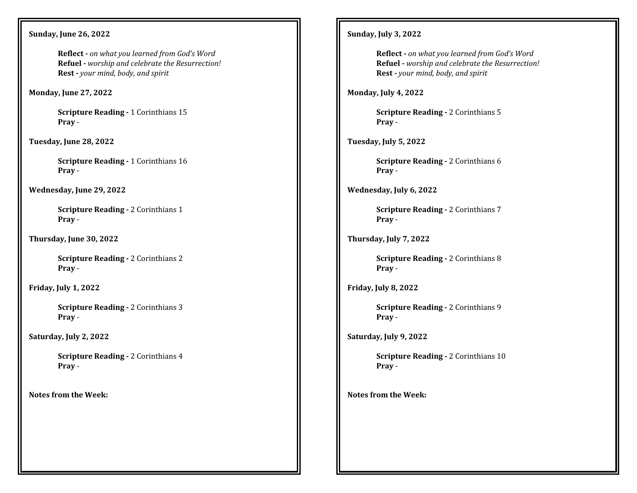**Sunday, June 26, 2022**

**Reflect -** *on what you learned from God's Word* **Refuel -** *worship and celebrate the Resurrection!* **Rest -** *your mind, body, and spirit*

**Monday, June 27, 2022**

**Scripture Reading -** 1 Corinthians 15 **Pray** -

**Tuesday, June 28, 2022**

**Scripture Reading - 1 Corinthians 16 Pray** -

**Wednesday, June 29, 2022**

**Scripture Reading - 2 Corinthians 1 Pray** -

**Thursday, June 30, 2022**

**Scripture Reading -** 2 Corinthians 2 **Pray** -

**Friday, July 1, 2022**

**Scripture Reading -** 2 Corinthians 3 **Pray** -

**Saturday, July 2, 2022**

**Scripture Reading -** 2 Corinthians 4 **Pray** -

**Notes from the Week:**

#### **Sunday, July 3, 2022**

**Reflect -** *on what you learned from God's Word* **Refuel -** *worship and celebrate the Resurrection!* **Rest -** *your mind, body, and spirit*

**Monday, July 4, 2022**

**Scripture Reading -** 2 Corinthians 5 **Pray** -

**Tuesday, July 5, 2022**

**Scripture Reading -** 2 Corinthians 6 **Pray** -

**Wednesday, July 6, 2022**

**Scripture Reading -** 2 Corinthians 7 **Pray** -

**Thursday, July 7, 2022**

**Scripture Reading -** 2 Corinthians 8 **Pray** -

**Friday, July 8, 2022**

**Scripture Reading -** 2 Corinthians 9 **Pray** -

**Saturday, July 9, 2022**

**Scripture Reading - 2 Corinthians 10 Pray** -